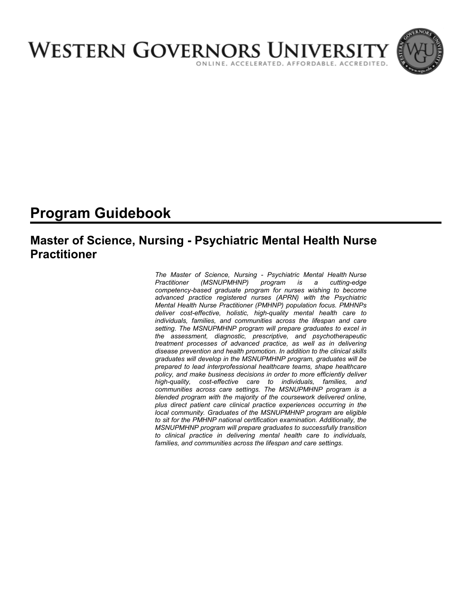

# **Program Guidebook**

# **Master of Science, Nursing - Psychiatric Mental Health Nurse Practitioner**

*The Master of Science, Nursing - Psychiatric Mental Health Nurse Practitioner (MSNUPMHNP) program is a cutting-edge competency-based graduate program for nurses wishing to become advanced practice registered nurses (APRN) with the Psychiatric Mental Health Nurse Practitioner (PMHNP) population focus. PMHNPs deliver cost-effective, holistic, high-quality mental health care to individuals, families, and communities across the lifespan and care setting. The MSNUPMHNP program will prepare graduates to excel in the assessment, diagnostic, prescriptive, and psychotherapeutic treatment processes of advanced practice, as well as in delivering disease prevention and health promotion. In addition to the clinical skills graduates will develop in the MSNUPMHNP program, graduates will be prepared to lead interprofessional healthcare teams, shape healthcare policy, and make business decisions in order to more efficiently deliver high-quality, cost-effective care to individuals, families, and communities across care settings. The MSNUPMHNP program is a blended program with the majority of the coursework delivered online, plus direct patient care clinical practice experiences occurring in the local community. Graduates of the MSNUPMHNP program are eligible to sit for the PMHNP national certification examination. Additionally, the MSNUPMHNP program will prepare graduates to successfully transition to clinical practice in delivering mental health care to individuals, families, and communities across the lifespan and care settings.*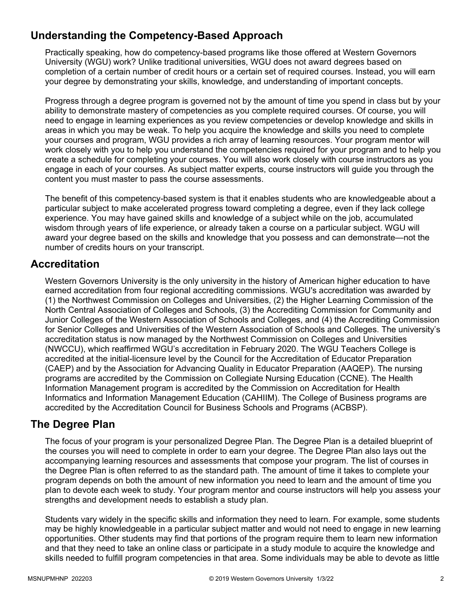# **Understanding the Competency-Based Approach**

Practically speaking, how do competency-based programs like those offered at Western Governors University (WGU) work? Unlike traditional universities, WGU does not award degrees based on completion of a certain number of credit hours or a certain set of required courses. Instead, you will earn your degree by demonstrating your skills, knowledge, and understanding of important concepts.

Progress through a degree program is governed not by the amount of time you spend in class but by your ability to demonstrate mastery of competencies as you complete required courses. Of course, you will need to engage in learning experiences as you review competencies or develop knowledge and skills in areas in which you may be weak. To help you acquire the knowledge and skills you need to complete your courses and program, WGU provides a rich array of learning resources. Your program mentor will work closely with you to help you understand the competencies required for your program and to help you create a schedule for completing your courses. You will also work closely with course instructors as you engage in each of your courses. As subject matter experts, course instructors will guide you through the content you must master to pass the course assessments.

The benefit of this competency-based system is that it enables students who are knowledgeable about a particular subject to make accelerated progress toward completing a degree, even if they lack college experience. You may have gained skills and knowledge of a subject while on the job, accumulated wisdom through years of life experience, or already taken a course on a particular subject. WGU will award your degree based on the skills and knowledge that you possess and can demonstrate—not the number of credits hours on your transcript.

### **Accreditation**

Western Governors University is the only university in the history of American higher education to have earned accreditation from four regional accrediting commissions. WGU's accreditation was awarded by (1) the Northwest Commission on Colleges and Universities, (2) the Higher Learning Commission of the North Central Association of Colleges and Schools, (3) the Accrediting Commission for Community and Junior Colleges of the Western Association of Schools and Colleges, and (4) the Accrediting Commission for Senior Colleges and Universities of the Western Association of Schools and Colleges. The university's accreditation status is now managed by the Northwest Commission on Colleges and Universities (NWCCU), which reaffirmed WGU's accreditation in February 2020. The WGU Teachers College is accredited at the initial-licensure level by the Council for the Accreditation of Educator Preparation (CAEP) and by the Association for Advancing Quality in Educator Preparation (AAQEP). The nursing programs are accredited by the Commission on Collegiate Nursing Education (CCNE). The Health Information Management program is accredited by the Commission on Accreditation for Health Informatics and Information Management Education (CAHIIM). The College of Business programs are accredited by the Accreditation Council for Business Schools and Programs (ACBSP).

### **The Degree Plan**

The focus of your program is your personalized Degree Plan. The Degree Plan is a detailed blueprint of the courses you will need to complete in order to earn your degree. The Degree Plan also lays out the accompanying learning resources and assessments that compose your program. The list of courses in the Degree Plan is often referred to as the standard path. The amount of time it takes to complete your program depends on both the amount of new information you need to learn and the amount of time you plan to devote each week to study. Your program mentor and course instructors will help you assess your strengths and development needs to establish a study plan.

Students vary widely in the specific skills and information they need to learn. For example, some students may be highly knowledgeable in a particular subject matter and would not need to engage in new learning opportunities. Other students may find that portions of the program require them to learn new information and that they need to take an online class or participate in a study module to acquire the knowledge and skills needed to fulfill program competencies in that area. Some individuals may be able to devote as little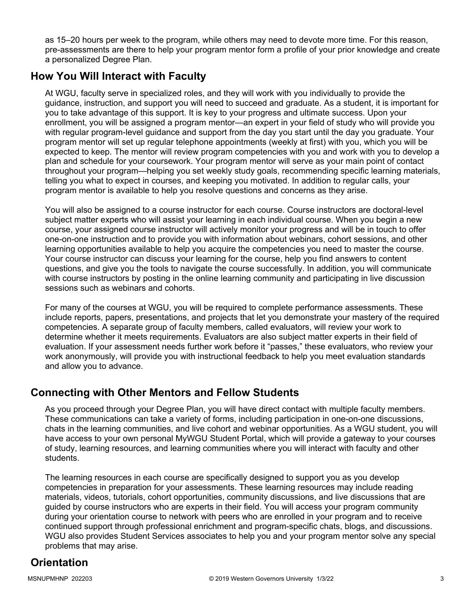as 15–20 hours per week to the program, while others may need to devote more time. For this reason, pre-assessments are there to help your program mentor form a profile of your prior knowledge and create a personalized Degree Plan.

### **How You Will Interact with Faculty**

At WGU, faculty serve in specialized roles, and they will work with you individually to provide the guidance, instruction, and support you will need to succeed and graduate. As a student, it is important for you to take advantage of this support. It is key to your progress and ultimate success. Upon your enrollment, you will be assigned a program mentor—an expert in your field of study who will provide you with regular program-level guidance and support from the day you start until the day you graduate. Your program mentor will set up regular telephone appointments (weekly at first) with you, which you will be expected to keep. The mentor will review program competencies with you and work with you to develop a plan and schedule for your coursework. Your program mentor will serve as your main point of contact throughout your program—helping you set weekly study goals, recommending specific learning materials, telling you what to expect in courses, and keeping you motivated. In addition to regular calls, your program mentor is available to help you resolve questions and concerns as they arise.

You will also be assigned to a course instructor for each course. Course instructors are doctoral-level subject matter experts who will assist your learning in each individual course. When you begin a new course, your assigned course instructor will actively monitor your progress and will be in touch to offer one-on-one instruction and to provide you with information about webinars, cohort sessions, and other learning opportunities available to help you acquire the competencies you need to master the course. Your course instructor can discuss your learning for the course, help you find answers to content questions, and give you the tools to navigate the course successfully. In addition, you will communicate with course instructors by posting in the online learning community and participating in live discussion sessions such as webinars and cohorts.

For many of the courses at WGU, you will be required to complete performance assessments. These include reports, papers, presentations, and projects that let you demonstrate your mastery of the required competencies. A separate group of faculty members, called evaluators, will review your work to determine whether it meets requirements. Evaluators are also subject matter experts in their field of evaluation. If your assessment needs further work before it "passes," these evaluators, who review your work anonymously, will provide you with instructional feedback to help you meet evaluation standards and allow you to advance.

### **Connecting with Other Mentors and Fellow Students**

As you proceed through your Degree Plan, you will have direct contact with multiple faculty members. These communications can take a variety of forms, including participation in one-on-one discussions, chats in the learning communities, and live cohort and webinar opportunities. As a WGU student, you will have access to your own personal MyWGU Student Portal, which will provide a gateway to your courses of study, learning resources, and learning communities where you will interact with faculty and other students.

The learning resources in each course are specifically designed to support you as you develop competencies in preparation for your assessments. These learning resources may include reading materials, videos, tutorials, cohort opportunities, community discussions, and live discussions that are guided by course instructors who are experts in their field. You will access your program community during your orientation course to network with peers who are enrolled in your program and to receive continued support through professional enrichment and program-specific chats, blogs, and discussions. WGU also provides Student Services associates to help you and your program mentor solve any special problems that may arise.

# **Orientation**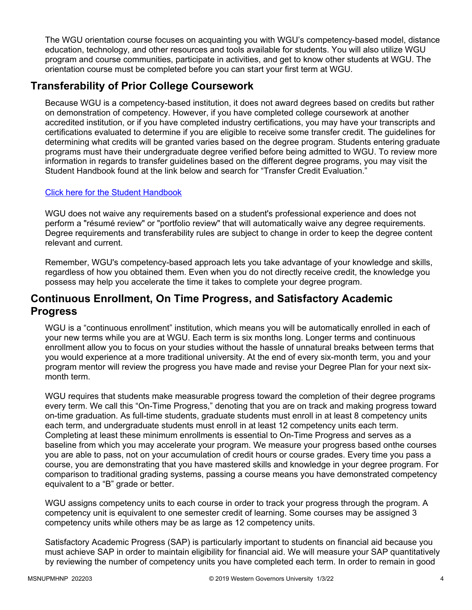The WGU orientation course focuses on acquainting you with WGU's competency-based model, distance education, technology, and other resources and tools available for students. You will also utilize WGU program and course communities, participate in activities, and get to know other students at WGU. The orientation course must be completed before you can start your first term at WGU.

### **Transferability of Prior College Coursework**

Because WGU is a competency-based institution, it does not award degrees based on credits but rather on demonstration of competency. However, if you have completed college coursework at another accredited institution, or if you have completed industry certifications, you may have your transcripts and certifications evaluated to determine if you are eligible to receive some transfer credit. The guidelines for determining what credits will be granted varies based on the degree program. Students entering graduate programs must have their undergraduate degree verified before being admitted to WGU. To review more information in regards to transfer guidelines based on the different degree programs, you may visit the Student Handbook found at the link below and search for "Transfer Credit Evaluation."

### [Click here for the Student Handbook](http://cm.wgu.edu/)

WGU does not waive any requirements based on a student's professional experience and does not perform a "résumé review" or "portfolio review" that will automatically waive any degree requirements. Degree requirements and transferability rules are subject to change in order to keep the degree content relevant and current.

Remember, WGU's competency-based approach lets you take advantage of your knowledge and skills, regardless of how you obtained them. Even when you do not directly receive credit, the knowledge you possess may help you accelerate the time it takes to complete your degree program.

### **Continuous Enrollment, On Time Progress, and Satisfactory Academic Progress**

WGU is a "continuous enrollment" institution, which means you will be automatically enrolled in each of your new terms while you are at WGU. Each term is six months long. Longer terms and continuous enrollment allow you to focus on your studies without the hassle of unnatural breaks between terms that you would experience at a more traditional university. At the end of every six-month term, you and your program mentor will review the progress you have made and revise your Degree Plan for your next sixmonth term.

WGU requires that students make measurable progress toward the completion of their degree programs every term. We call this "On-Time Progress," denoting that you are on track and making progress toward on-time graduation. As full-time students, graduate students must enroll in at least 8 competency units each term, and undergraduate students must enroll in at least 12 competency units each term. Completing at least these minimum enrollments is essential to On-Time Progress and serves as a baseline from which you may accelerate your program. We measure your progress based onthe courses you are able to pass, not on your accumulation of credit hours or course grades. Every time you pass a course, you are demonstrating that you have mastered skills and knowledge in your degree program. For comparison to traditional grading systems, passing a course means you have demonstrated competency equivalent to a "B" grade or better.

WGU assigns competency units to each course in order to track your progress through the program. A competency unit is equivalent to one semester credit of learning. Some courses may be assigned 3 competency units while others may be as large as 12 competency units.

Satisfactory Academic Progress (SAP) is particularly important to students on financial aid because you must achieve SAP in order to maintain eligibility for financial aid. We will measure your SAP quantitatively by reviewing the number of competency units you have completed each term. In order to remain in good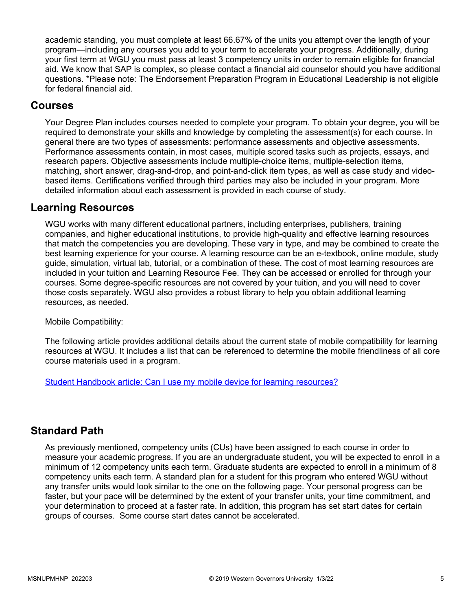academic standing, you must complete at least 66.67% of the units you attempt over the length of your program—including any courses you add to your term to accelerate your progress. Additionally, during your first term at WGU you must pass at least 3 competency units in order to remain eligible for financial aid. We know that SAP is complex, so please contact a financial aid counselor should you have additional questions. \*Please note: The Endorsement Preparation Program in Educational Leadership is not eligible for federal financial aid.

### **Courses**

Your Degree Plan includes courses needed to complete your program. To obtain your degree, you will be required to demonstrate your skills and knowledge by completing the assessment(s) for each course. In general there are two types of assessments: performance assessments and objective assessments. Performance assessments contain, in most cases, multiple scored tasks such as projects, essays, and research papers. Objective assessments include multiple-choice items, multiple-selection items, matching, short answer, drag-and-drop, and point-and-click item types, as well as case study and videobased items. Certifications verified through third parties may also be included in your program. More detailed information about each assessment is provided in each course of study.

### **Learning Resources**

WGU works with many different educational partners, including enterprises, publishers, training companies, and higher educational institutions, to provide high-quality and effective learning resources that match the competencies you are developing. These vary in type, and may be combined to create the best learning experience for your course. A learning resource can be an e-textbook, online module, study guide, simulation, virtual lab, tutorial, or a combination of these. The cost of most learning resources are included in your tuition and Learning Resource Fee. They can be accessed or enrolled for through your courses. Some degree-specific resources are not covered by your tuition, and you will need to cover those costs separately. WGU also provides a robust library to help you obtain additional learning resources, as needed.

Mobile Compatibility:

The following article provides additional details about the current state of mobile compatibility for learning resources at WGU. It includes a list that can be referenced to determine the mobile friendliness of all core course materials used in a program.

[Student Handbook article: Can I use my mobile device for learning resources?](https://cm.wgu.edu/t5/Frequently-Asked-Questions/Can-I-use-my-mobile-device-for-learning-resources/ta-p/396)

### **Standard Path**

As previously mentioned, competency units (CUs) have been assigned to each course in order to measure your academic progress. If you are an undergraduate student, you will be expected to enroll in a minimum of 12 competency units each term. Graduate students are expected to enroll in a minimum of 8 competency units each term. A standard plan for a student for this program who entered WGU without any transfer units would look similar to the one on the following page. Your personal progress can be faster, but your pace will be determined by the extent of your transfer units, your time commitment, and your determination to proceed at a faster rate. In addition, this program has set start dates for certain groups of courses. Some course start dates cannot be accelerated.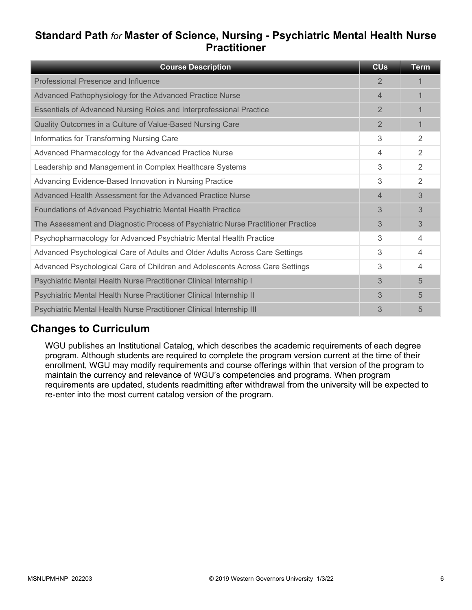## **Standard Path** *for* **Master of Science, Nursing - Psychiatric Mental Health Nurse Practitioner**

| <b>Course Description</b>                                                        | <b>CU<sub>s</sub></b> | <b>Term</b>    |
|----------------------------------------------------------------------------------|-----------------------|----------------|
| Professional Presence and Influence                                              | $\overline{2}$        |                |
| Advanced Pathophysiology for the Advanced Practice Nurse                         | 4                     | 1              |
| Essentials of Advanced Nursing Roles and Interprofessional Practice              | $\overline{2}$        | 1              |
| Quality Outcomes in a Culture of Value-Based Nursing Care                        | $\overline{2}$        | 1              |
| Informatics for Transforming Nursing Care                                        | 3                     | 2              |
| Advanced Pharmacology for the Advanced Practice Nurse                            | 4                     | $\overline{2}$ |
| Leadership and Management in Complex Healthcare Systems                          | 3                     | 2              |
| Advancing Evidence-Based Innovation in Nursing Practice                          | 3                     | 2              |
| Advanced Health Assessment for the Advanced Practice Nurse                       | $\overline{4}$        | 3              |
| Foundations of Advanced Psychiatric Mental Health Practice                       | 3                     | 3              |
| The Assessment and Diagnostic Process of Psychiatric Nurse Practitioner Practice | 3                     | 3              |
| Psychopharmacology for Advanced Psychiatric Mental Health Practice               | 3                     | 4              |
| Advanced Psychological Care of Adults and Older Adults Across Care Settings      | 3                     | 4              |
| Advanced Psychological Care of Children and Adolescents Across Care Settings     | 3                     | 4              |
| Psychiatric Mental Health Nurse Practitioner Clinical Internship I               | 3                     | 5              |
| Psychiatric Mental Health Nurse Practitioner Clinical Internship II              | 3                     | 5              |
| Psychiatric Mental Health Nurse Practitioner Clinical Internship III             | 3                     | 5              |

### **Changes to Curriculum**

WGU publishes an Institutional Catalog, which describes the academic requirements of each degree program. Although students are required to complete the program version current at the time of their enrollment, WGU may modify requirements and course offerings within that version of the program to maintain the currency and relevance of WGU's competencies and programs. When program requirements are updated, students readmitting after withdrawal from the university will be expected to re-enter into the most current catalog version of the program.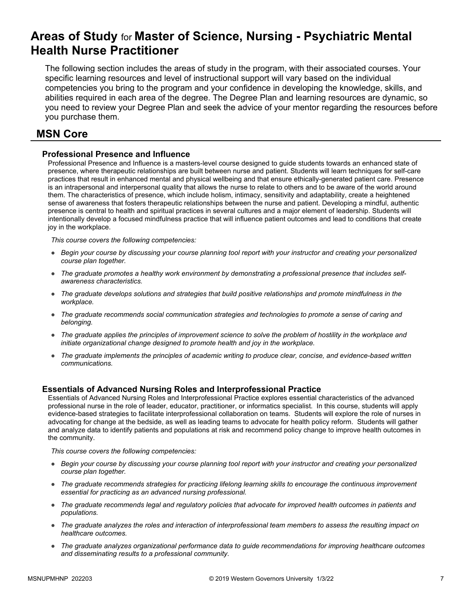# **Areas of Study** for **Master of Science, Nursing - Psychiatric Mental Health Nurse Practitioner**

The following section includes the areas of study in the program, with their associated courses. Your specific learning resources and level of instructional support will vary based on the individual competencies you bring to the program and your confidence in developing the knowledge, skills, and abilities required in each area of the degree. The Degree Plan and learning resources are dynamic, so you need to review your Degree Plan and seek the advice of your mentor regarding the resources before you purchase them.

### **MSN Core**

### **Professional Presence and Influence**

Professional Presence and Influence is a masters-level course designed to guide students towards an enhanced state of presence, where therapeutic relationships are built between nurse and patient. Students will learn techniques for self-care practices that result in enhanced mental and physical wellbeing and that ensure ethically-generated patient care. Presence is an intrapersonal and interpersonal quality that allows the nurse to relate to others and to be aware of the world around them. The characteristics of presence, which include holism, intimacy, sensitivity and adaptability, create a heightened sense of awareness that fosters therapeutic relationships between the nurse and patient. Developing a mindful, authentic presence is central to health and spiritual practices in several cultures and a major element of leadership. Students will intentionally develop a focused mindfulness practice that will influence patient outcomes and lead to conditions that create joy in the workplace.

*This course covers the following competencies:*

- *Begin your course by discussing your course planning tool report with your instructor and creating your personalized course plan together.*
- *The graduate promotes a healthy work environment by demonstrating a professional presence that includes selfawareness characteristics.*
- *The graduate develops solutions and strategies that build positive relationships and promote mindfulness in the workplace.*
- *The graduate recommends social communication strategies and technologies to promote a sense of caring and belonging.*
- *The graduate applies the principles of improvement science to solve the problem of hostility in the workplace and initiate organizational change designed to promote health and joy in the workplace.*
- *The graduate implements the principles of academic writing to produce clear, concise, and evidence-based written communications.*

### **Essentials of Advanced Nursing Roles and Interprofessional Practice**

Essentials of Advanced Nursing Roles and Interprofessional Practice explores essential characteristics of the advanced professional nurse in the role of leader, educator, practitioner, or informatics specialist. In this course, students will apply evidence-based strategies to facilitate interprofessional collaboration on teams. Students will explore the role of nurses in advocating for change at the bedside, as well as leading teams to advocate for health policy reform. Students will gather and analyze data to identify patients and populations at risk and recommend policy change to improve health outcomes in the community.

- *Begin your course by discussing your course planning tool report with your instructor and creating your personalized course plan together.*
- *The graduate recommends strategies for practicing lifelong learning skills to encourage the continuous improvement essential for practicing as an advanced nursing professional.*
- *The graduate recommends legal and regulatory policies that advocate for improved health outcomes in patients and populations.*
- *The graduate analyzes the roles and interaction of interprofessional team members to assess the resulting impact on healthcare outcomes.*
- *The graduate analyzes organizational performance data to guide recommendations for improving healthcare outcomes and disseminating results to a professional community.*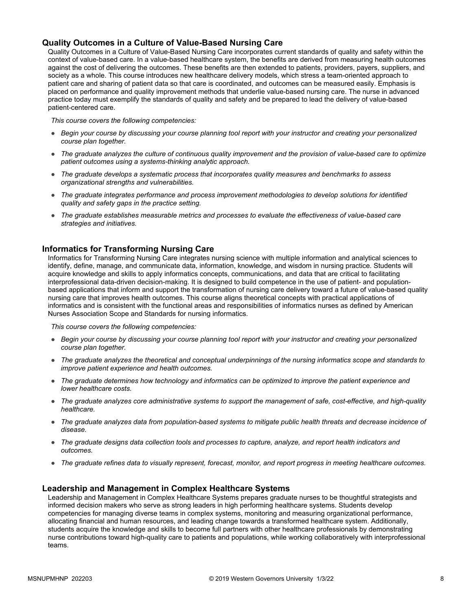#### **Quality Outcomes in a Culture of Value-Based Nursing Care**

Quality Outcomes in a Culture of Value-Based Nursing Care incorporates current standards of quality and safety within the context of value-based care. In a value-based healthcare system, the benefits are derived from measuring health outcomes against the cost of delivering the outcomes. These benefits are then extended to patients, providers, payers, suppliers, and society as a whole. This course introduces new healthcare delivery models, which stress a team-oriented approach to patient care and sharing of patient data so that care is coordinated, and outcomes can be measured easily. Emphasis is placed on performance and quality improvement methods that underlie value-based nursing care. The nurse in advanced practice today must exemplify the standards of quality and safety and be prepared to lead the delivery of value-based patient-centered care.

*This course covers the following competencies:*

- *Begin your course by discussing your course planning tool report with your instructor and creating your personalized course plan together.*
- *The graduate analyzes the culture of continuous quality improvement and the provision of value-based care to optimize patient outcomes using a systems-thinking analytic approach.*
- *The graduate develops a systematic process that incorporates quality measures and benchmarks to assess organizational strengths and vulnerabilities.*
- *The graduate integrates performance and process improvement methodologies to develop solutions for identified quality and safety gaps in the practice setting.*
- *The graduate establishes measurable metrics and processes to evaluate the effectiveness of value-based care strategies and initiatives.*

#### **Informatics for Transforming Nursing Care**

Informatics for Transforming Nursing Care integrates nursing science with multiple information and analytical sciences to identify, define, manage, and communicate data, information, knowledge, and wisdom in nursing practice. Students will acquire knowledge and skills to apply informatics concepts, communications, and data that are critical to facilitating interprofessional data-driven decision-making. It is designed to build competence in the use of patient- and populationbased applications that inform and support the transformation of nursing care delivery toward a future of value-based quality nursing care that improves health outcomes. This course aligns theoretical concepts with practical applications of informatics and is consistent with the functional areas and responsibilities of informatics nurses as defined by American Nurses Association Scope and Standards for nursing informatics.

*This course covers the following competencies:*

- *Begin your course by discussing your course planning tool report with your instructor and creating your personalized course plan together.*
- *The graduate analyzes the theoretical and conceptual underpinnings of the nursing informatics scope and standards to improve patient experience and health outcomes.*
- *The graduate determines how technology and informatics can be optimized to improve the patient experience and lower healthcare costs.*
- *The graduate analyzes core administrative systems to support the management of safe, cost-effective, and high-quality healthcare.*
- *The graduate analyzes data from population-based systems to mitigate public health threats and decrease incidence of disease.*
- *The graduate designs data collection tools and processes to capture, analyze, and report health indicators and outcomes.*
- *The graduate refines data to visually represent, forecast, monitor, and report progress in meeting healthcare outcomes.*

#### **Leadership and Management in Complex Healthcare Systems**

Leadership and Management in Complex Healthcare Systems prepares graduate nurses to be thoughtful strategists and informed decision makers who serve as strong leaders in high performing healthcare systems. Students develop competencies for managing diverse teams in complex systems, monitoring and measuring organizational performance, allocating financial and human resources, and leading change towards a transformed healthcare system. Additionally, students acquire the knowledge and skills to become full partners with other healthcare professionals by demonstrating nurse contributions toward high-quality care to patients and populations, while working collaboratively with interprofessional teams.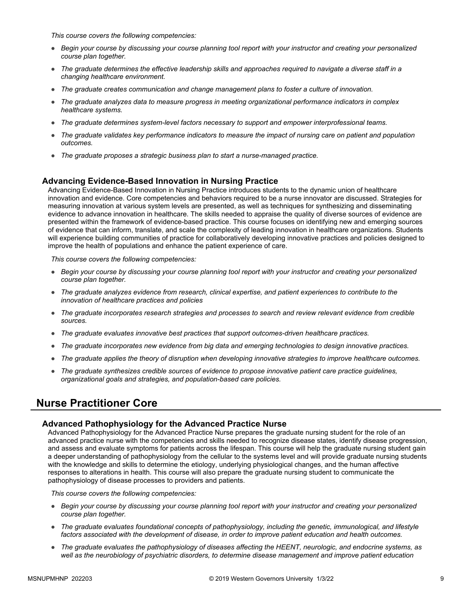*This course covers the following competencies:*

- *Begin your course by discussing your course planning tool report with your instructor and creating your personalized course plan together.*
- *The graduate determines the effective leadership skills and approaches required to navigate a diverse staff in a changing healthcare environment.*
- *The graduate creates communication and change management plans to foster a culture of innovation.*
- *The graduate analyzes data to measure progress in meeting organizational performance indicators in complex healthcare systems.*
- *The graduate determines system-level factors necessary to support and empower interprofessional teams.*
- *The graduate validates key performance indicators to measure the impact of nursing care on patient and population outcomes.*
- *The graduate proposes a strategic business plan to start a nurse-managed practice.*

#### **Advancing Evidence-Based Innovation in Nursing Practice**

Advancing Evidence-Based Innovation in Nursing Practice introduces students to the dynamic union of healthcare innovation and evidence. Core competencies and behaviors required to be a nurse innovator are discussed. Strategies for measuring innovation at various system levels are presented, as well as techniques for synthesizing and disseminating evidence to advance innovation in healthcare. The skills needed to appraise the quality of diverse sources of evidence are presented within the framework of evidence-based practice. This course focuses on identifying new and emerging sources of evidence that can inform, translate, and scale the complexity of leading innovation in healthcare organizations. Students will experience building communities of practice for collaboratively developing innovative practices and policies designed to improve the health of populations and enhance the patient experience of care.

*This course covers the following competencies:*

- *Begin your course by discussing your course planning tool report with your instructor and creating your personalized course plan together.*
- *The graduate analyzes evidence from research, clinical expertise, and patient experiences to contribute to the innovation of healthcare practices and policies*
- *The graduate incorporates research strategies and processes to search and review relevant evidence from credible sources.*
- *The graduate evaluates innovative best practices that support outcomes-driven healthcare practices.*
- *The graduate incorporates new evidence from big data and emerging technologies to design innovative practices.*
- *The graduate applies the theory of disruption when developing innovative strategies to improve healthcare outcomes.*
- *The graduate synthesizes credible sources of evidence to propose innovative patient care practice guidelines, organizational goals and strategies, and population-based care policies.*

### **Nurse Practitioner Core**

#### **Advanced Pathophysiology for the Advanced Practice Nurse**

Advanced Pathophysiology for the Advanced Practice Nurse prepares the graduate nursing student for the role of an advanced practice nurse with the competencies and skills needed to recognize disease states, identify disease progression, and assess and evaluate symptoms for patients across the lifespan. This course will help the graduate nursing student gain a deeper understanding of pathophysiology from the cellular to the systems level and will provide graduate nursing students with the knowledge and skills to determine the etiology, underlying physiological changes, and the human affective responses to alterations in health. This course will also prepare the graduate nursing student to communicate the pathophysiology of disease processes to providers and patients.

- *Begin your course by discussing your course planning tool report with your instructor and creating your personalized course plan together.*
- *The graduate evaluates foundational concepts of pathophysiology, including the genetic, immunological, and lifestyle*  factors associated with the development of disease, in order to improve patient education and health outcomes.
- *The graduate evaluates the pathophysiology of diseases affecting the HEENT, neurologic, and endocrine systems, as*  well as the neurobiology of psychiatric disorders, to determine disease management and improve patient education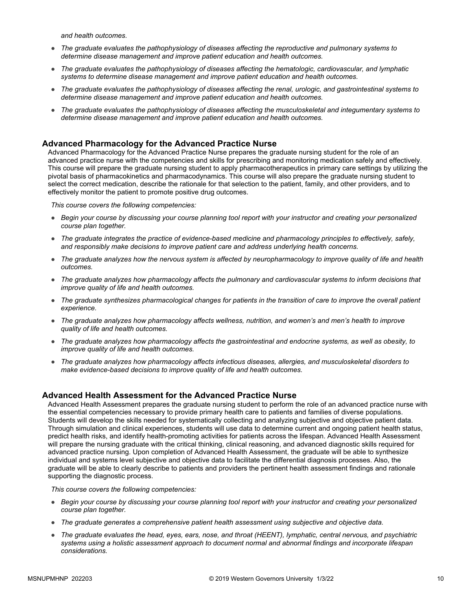*and health outcomes.* 

- *The graduate evaluates the pathophysiology of diseases affecting the reproductive and pulmonary systems to determine disease management and improve patient education and health outcomes.*
- *The graduate evaluates the pathophysiology of diseases affecting the hematologic, cardiovascular, and lymphatic systems to determine disease management and improve patient education and health outcomes.*
- *The graduate evaluates the pathophysiology of diseases affecting the renal, urologic, and gastrointestinal systems to determine disease management and improve patient education and health outcomes.*
- *The graduate evaluates the pathophysiology of diseases affecting the musculoskeletal and integumentary systems to determine disease management and improve patient education and health outcomes.*

#### **Advanced Pharmacology for the Advanced Practice Nurse**

Advanced Pharmacology for the Advanced Practice Nurse prepares the graduate nursing student for the role of an advanced practice nurse with the competencies and skills for prescribing and monitoring medication safely and effectively. This course will prepare the graduate nursing student to apply pharmacotherapeutics in primary care settings by utilizing the pivotal basis of pharmacokinetics and pharmacodynamics. This course will also prepare the graduate nursing student to select the correct medication, describe the rationale for that selection to the patient, family, and other providers, and to effectively monitor the patient to promote positive drug outcomes.

*This course covers the following competencies:*

- *Begin your course by discussing your course planning tool report with your instructor and creating your personalized course plan together.*
- *The graduate integrates the practice of evidence-based medicine and pharmacology principles to effectively, safely, and responsibly make decisions to improve patient care and address underlying health concerns.*
- *The graduate analyzes how the nervous system is affected by neuropharmacology to improve quality of life and health outcomes.*
- *The graduate analyzes how pharmacology affects the pulmonary and cardiovascular systems to inform decisions that improve quality of life and health outcomes.*
- *The graduate synthesizes pharmacological changes for patients in the transition of care to improve the overall patient experience.*
- *The graduate analyzes how pharmacology affects wellness, nutrition, and women's and men's health to improve quality of life and health outcomes.*
- *The graduate analyzes how pharmacology affects the gastrointestinal and endocrine systems, as well as obesity, to improve quality of life and health outcomes.*
- *The graduate analyzes how pharmacology affects infectious diseases, allergies, and musculoskeletal disorders to make evidence-based decisions to improve quality of life and health outcomes.*

#### **Advanced Health Assessment for the Advanced Practice Nurse**

Advanced Health Assessment prepares the graduate nursing student to perform the role of an advanced practice nurse with the essential competencies necessary to provide primary health care to patients and families of diverse populations. Students will develop the skills needed for systematically collecting and analyzing subjective and objective patient data. Through simulation and clinical experiences, students will use data to determine current and ongoing patient health status, predict health risks, and identify health-promoting activities for patients across the lifespan. Advanced Health Assessment will prepare the nursing graduate with the critical thinking, clinical reasoning, and advanced diagnostic skills required for advanced practice nursing. Upon completion of Advanced Health Assessment, the graduate will be able to synthesize individual and systems level subjective and objective data to facilitate the differential diagnosis processes. Also, the graduate will be able to clearly describe to patients and providers the pertinent health assessment findings and rationale supporting the diagnostic process.

- *Begin your course by discussing your course planning tool report with your instructor and creating your personalized course plan together.*
- *The graduate generates a comprehensive patient health assessment using subjective and objective data.*
- *The graduate evaluates the head, eyes, ears, nose, and throat (HEENT), lymphatic, central nervous, and psychiatric systems using a holistic assessment approach to document normal and abnormal findings and incorporate lifespan considerations.*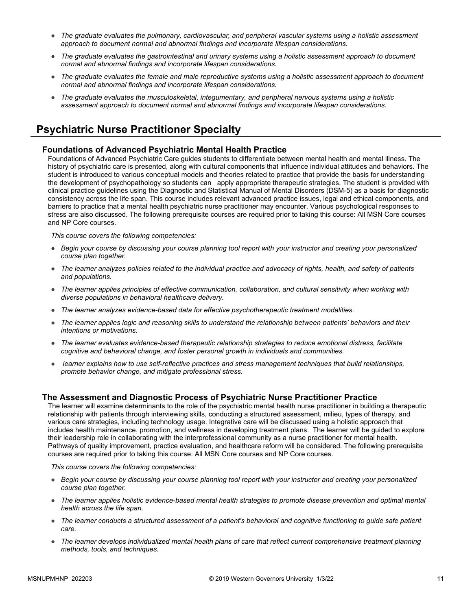- *The graduate evaluates the pulmonary, cardiovascular, and peripheral vascular systems using a holistic assessment approach to document normal and abnormal findings and incorporate lifespan considerations.*
- *The graduate evaluates the gastrointestinal and urinary systems using a holistic assessment approach to document normal and abnormal findings and incorporate lifespan considerations.*
- *The graduate evaluates the female and male reproductive systems using a holistic assessment approach to document normal and abnormal findings and incorporate lifespan considerations.*
- *The graduate evaluates the musculoskeletal, integumentary, and peripheral nervous systems using a holistic assessment approach to document normal and abnormal findings and incorporate lifespan considerations.*

### **Psychiatric Nurse Practitioner Specialty**

#### **Foundations of Advanced Psychiatric Mental Health Practice**

Foundations of Advanced Psychiatric Care guides students to differentiate between mental health and mental illness. The history of psychiatric care is presented, along with cultural components that influence individual attitudes and behaviors. The student is introduced to various conceptual models and theories related to practice that provide the basis for understanding the development of psychopathology so students can apply appropriate therapeutic strategies. The student is provided with clinical practice guidelines using the Diagnostic and Statistical Manual of Mental Disorders (DSM-5) as a basis for diagnostic consistency across the life span. This course includes relevant advanced practice issues, legal and ethical components, and barriers to practice that a mental health psychiatric nurse practitioner may encounter. Various psychological responses to stress are also discussed. The following prerequisite courses are required prior to taking this course: All MSN Core courses and NP Core courses.

*This course covers the following competencies:*

- *Begin your course by discussing your course planning tool report with your instructor and creating your personalized course plan together.*
- *The learner analyzes policies related to the individual practice and advocacy of rights, health, and safety of patients and populations.*
- *The learner applies principles of effective communication, collaboration, and cultural sensitivity when working with diverse populations in behavioral healthcare delivery.*
- *The learner analyzes evidence-based data for effective psychotherapeutic treatment modalities.*
- *The learner applies logic and reasoning skills to understand the relationship between patients' behaviors and their intentions or motivations.*
- *The learner evaluates evidence-based therapeutic relationship strategies to reduce emotional distress, facilitate cognitive and behavioral change, and foster personal growth in individuals and communities.*
- learner explains how to use self-reflective practices and stress management techniques that build relationships, *promote behavior change, and mitigate professional stress.*

#### **The Assessment and Diagnostic Process of Psychiatric Nurse Practitioner Practice**

The learner will examine determinants to the role of the psychiatric mental health nurse practitioner in building a therapeutic relationship with patients through interviewing skills, conducting a structured assessment, milieu, types of therapy, and various care strategies, including technology usage. Integrative care will be discussed using a holistic approach that includes health maintenance, promotion, and wellness in developing treatment plans. The learner will be guided to explore their leadership role in collaborating with the interprofessional community as a nurse practitioner for mental health. Pathways of quality improvement, practice evaluation, and healthcare reform will be considered. The following prerequisite courses are required prior to taking this course: All MSN Core courses and NP Core courses.

- *Begin your course by discussing your course planning tool report with your instructor and creating your personalized course plan together.*
- *The learner applies holistic evidence-based mental health strategies to promote disease prevention and optimal mental health across the life span.*
- *The learner conducts a structured assessment of a patient's behavioral and cognitive functioning to guide safe patient care.*
- *The learner develops individualized mental health plans of care that reflect current comprehensive treatment planning methods, tools, and techniques.*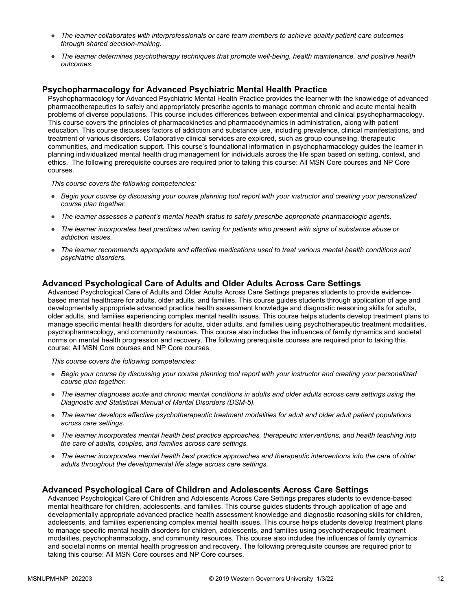- *The learner collaborates with interprofessionals or care team members to achieve quality patient care outcomes through shared decision-making.*
- *The learner determines psychotherapy techniques that promote well-being, health maintenance, and positive health outcomes.*

#### **Psychopharmacology for Advanced Psychiatric Mental Health Practice**

Psychopharmacology for Advanced Psychiatric Mental Health Practice provides the learner with the knowledge of advanced pharmacotherapeutics to safely and appropriately prescribe agents to manage common chronic and acute mental health problems of diverse populations. This course includes differences between experimental and clinical psychopharmacology. This course covers the principles of pharmacokinetics and pharmacodynamics in administration, along with patient education. This course discusses factors of addiction and substance use, including prevalence, clinical manifestations, and treatment of various disorders. Collaborative clinical services are explored, such as group counseling, therapeutic communities, and medication support. This course's foundational information in psychopharmacology guides the learner in planning individualized mental health drug management for individuals across the life span based on setting, context, and ethics. The following prerequisite courses are required prior to taking this course: All MSN Core courses and NP Core courses.

*This course covers the following competencies:*

- *Begin your course by discussing your course planning tool report with your instructor and creating your personalized course plan together.*
- *The learner assesses a patient's mental health status to safely prescribe appropriate pharmacologic agents.*
- *The learner incorporates best practices when caring for patients who present with signs of substance abuse or addiction issues.*
- *The learner recommends appropriate and effective medications used to treat various mental health conditions and psychiatric disorders.*

#### **Advanced Psychological Care of Adults and Older Adults Across Care Settings**

Advanced Psychological Care of Adults and Older Adults Across Care Settings prepares students to provide evidencebased mental healthcare for adults, older adults, and families. This course guides students through application of age and developmentally appropriate advanced practice health assessment knowledge and diagnostic reasoning skills for adults, older adults, and families experiencing complex mental health issues. This course helps students develop treatment plans to manage specific mental health disorders for adults, older adults, and families using psychotherapeutic treatment modalities, psychopharmacology, and community resources. This course also includes the influences of family dynamics and societal norms on mental health progression and recovery. The following prerequisite courses are required prior to taking this course: All MSN Core courses and NP Core courses.

*This course covers the following competencies:*

- *Begin your course by discussing your course planning tool report with your instructor and creating your personalized course plan together.*
- *The learner diagnoses acute and chronic mental conditions in adults and older adults across care settings using the Diagnostic and Statistical Manual of Mental Disorders (DSM-5).*
- *The learner develops effective psychotherapeutic treatment modalities for adult and older adult patient populations across care settings.*
- *The learner incorporates mental health best practice approaches, therapeutic interventions, and health teaching into the care of adults, couples, and families across care settings.*
- *The learner incorporates mental health best practice approaches and therapeutic interventions into the care of older adults throughout the developmental life stage across care settings.*

#### **Advanced Psychological Care of Children and Adolescents Across Care Settings**

Advanced Psychological Care of Children and Adolescents Across Care Settings prepares students to evidence-based mental healthcare for children, adolescents, and families. This course guides students through application of age and developmentally appropriate advanced practice health assessment knowledge and diagnostic reasoning skills for children, adolescents, and families experiencing complex mental health issues. This course helps students develop treatment plans to manage specific mental health disorders for children, adolescents, and families using psychotherapeutic treatment modalities, psychopharmacology, and community resources. This course also includes the influences of family dynamics and societal norms on mental health progression and recovery. The following prerequisite courses are required prior to taking this course: All MSN Core courses and NP Core courses.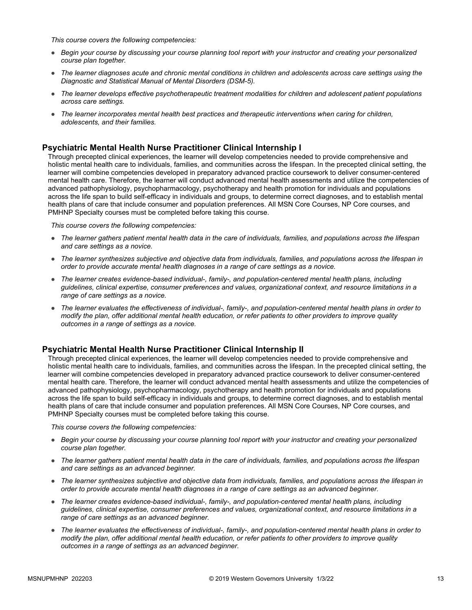*This course covers the following competencies:*

- *Begin your course by discussing your course planning tool report with your instructor and creating your personalized course plan together.*
- *The learner diagnoses acute and chronic mental conditions in children and adolescents across care settings using the Diagnostic and Statistical Manual of Mental Disorders (DSM-5).*
- *The learner develops effective psychotherapeutic treatment modalities for children and adolescent patient populations across care settings.*
- *The learner incorporates mental health best practices and therapeutic interventions when caring for children, adolescents, and their families.*

#### **Psychiatric Mental Health Nurse Practitioner Clinical Internship I**

Through precepted clinical experiences, the learner will develop competencies needed to provide comprehensive and holistic mental health care to individuals, families, and communities across the lifespan. In the precepted clinical setting, the learner will combine competencies developed in preparatory advanced practice coursework to deliver consumer-centered mental health care. Therefore, the learner will conduct advanced mental health assessments and utilize the competencies of advanced pathophysiology, psychopharmacology, psychotherapy and health promotion for individuals and populations across the life span to build self-efficacy in individuals and groups, to determine correct diagnoses, and to establish mental health plans of care that include consumer and population preferences. All MSN Core Courses, NP Core courses, and PMHNP Specialty courses must be completed before taking this course.

*This course covers the following competencies:*

- *The learner gathers patient mental health data in the care of individuals, families, and populations across the lifespan and care settings as a novice.*
- *The learner synthesizes subjective and objective data from individuals, families, and populations across the lifespan in order to provide accurate mental health diagnoses in a range of care settings as a novice.*
- *The learner creates evidence-based individual-, family-, and population-centered mental health plans, including guidelines, clinical expertise, consumer preferences and values, organizational context, and resource limitations in a range of care settings as a novice.*
- *The learner evaluates the effectiveness of individual-, family-, and population-centered mental health plans in order to modify the plan, offer additional mental health education, or refer patients to other providers to improve quality outcomes in a range of settings as a novice.*

#### **Psychiatric Mental Health Nurse Practitioner Clinical Internship II**

Through precepted clinical experiences, the learner will develop competencies needed to provide comprehensive and holistic mental health care to individuals, families, and communities across the lifespan. In the precepted clinical setting, the learner will combine competencies developed in preparatory advanced practice coursework to deliver consumer-centered mental health care. Therefore, the learner will conduct advanced mental health assessments and utilize the competencies of advanced pathophysiology, psychopharmacology, psychotherapy and health promotion for individuals and populations across the life span to build self-efficacy in individuals and groups, to determine correct diagnoses, and to establish mental health plans of care that include consumer and population preferences. All MSN Core Courses, NP Core courses, and PMHNP Specialty courses must be completed before taking this course.

- *Begin your course by discussing your course planning tool report with your instructor and creating your personalized course plan together.*
- *The learner gathers patient mental health data in the care of individuals, families, and populations across the lifespan and care settings as an advanced beginner.*
- *The learner synthesizes subjective and objective data from individuals, families, and populations across the lifespan in order to provide accurate mental health diagnoses in a range of care settings as an advanced beginner.*
- *The learner creates evidence-based individual-, family-, and population-centered mental health plans, including guidelines, clinical expertise, consumer preferences and values, organizational context, and resource limitations in a range of care settings as an advanced beginner.*
- *The learner evaluates the effectiveness of individual-, family-, and population-centered mental health plans in order to modify the plan, offer additional mental health education, or refer patients to other providers to improve quality outcomes in a range of settings as an advanced beginner.*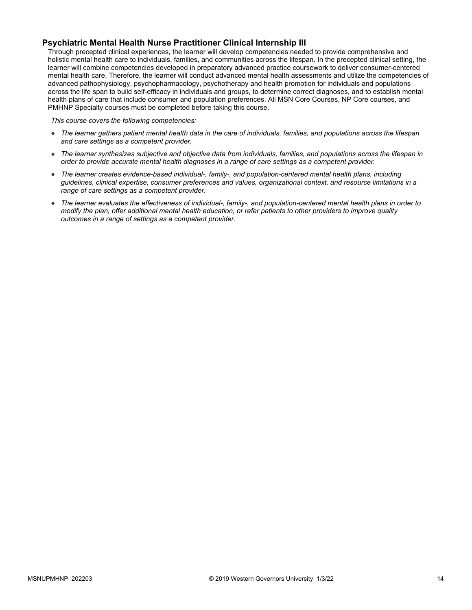### **Psychiatric Mental Health Nurse Practitioner Clinical Internship III**

Through precepted clinical experiences, the learner will develop competencies needed to provide comprehensive and holistic mental health care to individuals, families, and communities across the lifespan. In the precepted clinical setting, the learner will combine competencies developed in preparatory advanced practice coursework to deliver consumer-centered mental health care. Therefore, the learner will conduct advanced mental health assessments and utilize the competencies of advanced pathophysiology, psychopharmacology, psychotherapy and health promotion for individuals and populations across the life span to build self-efficacy in individuals and groups, to determine correct diagnoses, and to establish mental health plans of care that include consumer and population preferences. All MSN Core Courses, NP Core courses, and PMHNP Specialty courses must be completed before taking this course.

- *The learner gathers patient mental health data in the care of individuals, families, and populations across the lifespan and care settings as a competent provider.*
- *The learner synthesizes subjective and objective data from individuals, families, and populations across the lifespan in order to provide accurate mental health diagnoses in a range of care settings as a competent provider.*
- *The learner creates evidence-based individual-, family-, and population-centered mental health plans, including guidelines, clinical expertise, consumer preferences and values, organizational context, and resource limitations in a range of care settings as a competent provider.*
- *The learner evaluates the effectiveness of individual-, family-, and population-centered mental health plans in order to modify the plan, offer additional mental health education, or refer patients to other providers to improve quality outcomes in a range of settings as a competent provider.*